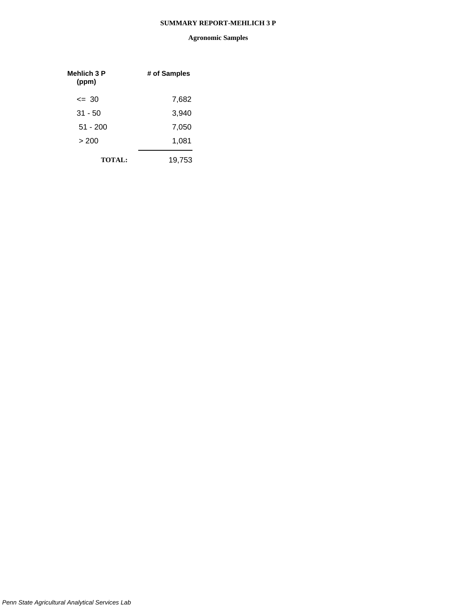| Mehlich 3 P<br>(ppm) | # of Samples |
|----------------------|--------------|
| $\leq$ 30            | 7,682        |
| $31 - 50$            | 3,940        |
| $51 - 200$           | 7,050        |
| > 200                | 1,081        |
| <b>TOTAL:</b>        | 19,753       |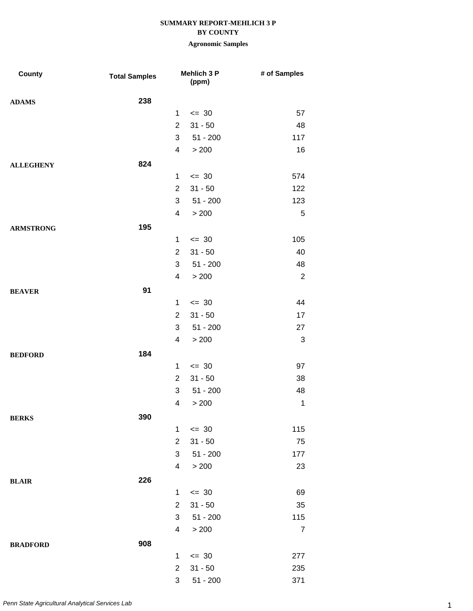#### **BY COUNTY**

| County           | <b>Total Samples</b> |                          | Mehlich 3 P<br>(ppm) | # of Samples   |
|------------------|----------------------|--------------------------|----------------------|----------------|
| <b>ADAMS</b>     | 238                  |                          |                      |                |
|                  |                      | $\mathbf{1}$             | $\leq$ 30            | 57             |
|                  |                      | $\overline{2}$           | $31 - 50$            | 48             |
|                  |                      | 3                        | $51 - 200$           | 117            |
|                  |                      | 4                        | > 200                | 16             |
| <b>ALLEGHENY</b> | 824                  |                          |                      |                |
|                  |                      | $\mathbf{1}$             | $\leq$ 30            | 574            |
|                  |                      | $\overline{2}$           | $31 - 50$            | 122            |
|                  |                      | 3                        | $51 - 200$           | 123            |
|                  |                      | $\overline{\mathcal{A}}$ | > 200                | 5              |
| <b>ARMSTRONG</b> | 195                  |                          |                      |                |
|                  |                      | $\mathbf{1}$             | $\leq$ 30            | 105            |
|                  |                      | $\overline{2}$           | $31 - 50$            | 40             |
|                  |                      | 3                        | $51 - 200$           | 48             |
|                  |                      | $\overline{4}$           | > 200                | $\sqrt{2}$     |
| <b>BEAVER</b>    | 91                   |                          |                      |                |
|                  |                      | $\mathbf{1}$             | $\leq$ 30            | 44             |
|                  |                      | $\overline{2}$           | $31 - 50$            | 17             |
|                  |                      | 3                        | $51 - 200$           | 27             |
|                  |                      | 4                        | > 200                | 3              |
| <b>BEDFORD</b>   | 184                  |                          |                      |                |
|                  |                      | $\mathbf{1}$             | $= 30$               | 97             |
|                  |                      | $\overline{2}$           | $31 - 50$            | 38             |
|                  |                      | 3                        | $51 - 200$           | 48             |
|                  |                      | 4                        | > 200                | $\mathbf 1$    |
| <b>BERKS</b>     | 390                  |                          |                      |                |
|                  |                      | $\mathbf{1}$             | $\leq$ 30            | 115            |
|                  |                      | $\overline{2}$           | $31 - 50$            | 75             |
|                  |                      | 3                        | $51 - 200$           | 177            |
|                  |                      | $\overline{4}$           | > 200                | 23             |
| <b>BLAIR</b>     | 226                  |                          |                      |                |
|                  |                      | $\mathbf{1}$             | $= 30$               | 69             |
|                  |                      | $\overline{2}$           | $31 - 50$            | 35             |
|                  |                      | 3                        | $51 - 200$           | 115            |
|                  |                      | 4                        | > 200                | $\overline{7}$ |
| <b>BRADFORD</b>  | 908                  |                          |                      |                |
|                  |                      | $\mathbf 1$              | $= 30$               | 277            |
|                  |                      | $\overline{2}$           | $31 - 50$            | 235            |
|                  |                      | 3                        | $51 - 200$           | 371            |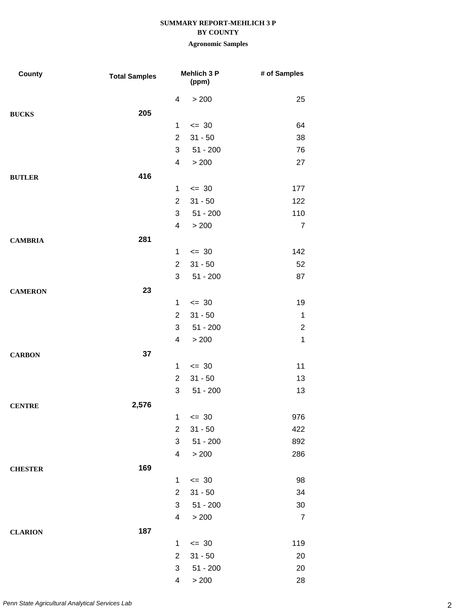### **BY COUNTY**

| County         | <b>Total Samples</b> |                          | <b>Mehlich 3 P</b><br>(ppm) | # of Samples   |
|----------------|----------------------|--------------------------|-----------------------------|----------------|
|                |                      | $\overline{\mathcal{A}}$ | > 200                       | 25             |
| <b>BUCKS</b>   | 205                  |                          |                             |                |
|                |                      | 1                        | $= 30$                      | 64             |
|                |                      | $\overline{2}$           | $31 - 50$                   | 38             |
|                |                      | 3                        | $51 - 200$                  | 76             |
|                |                      | 4                        | > 200                       | 27             |
| <b>BUTLER</b>  | 416                  |                          |                             |                |
|                |                      | $\mathbf{1}$             | $\leq$ 30                   | 177            |
|                |                      | $\overline{2}$           | $31 - 50$                   | 122            |
|                |                      | 3                        | $51 - 200$                  | 110            |
|                |                      | 4                        | > 200                       | $\overline{7}$ |
| <b>CAMBRIA</b> | 281                  |                          |                             |                |
|                |                      | 1                        | $\leq$ 30                   | 142            |
|                |                      | $\overline{2}$           | $31 - 50$                   | 52             |
|                |                      | 3                        | $51 - 200$                  | 87             |
| <b>CAMERON</b> | 23                   |                          |                             |                |
|                |                      | 1                        | $\leq$ 30                   | 19             |
|                |                      | $\overline{2}$           | $31 - 50$                   | $\mathbf 1$    |
|                |                      | 3                        | $51 - 200$                  | $\overline{c}$ |
|                |                      | $\overline{4}$           | > 200                       | $\mathbf 1$    |
| <b>CARBON</b>  | 37                   |                          |                             |                |
|                |                      | 1                        | $\leq$ 30                   | 11             |
|                |                      | $\overline{2}$           | $31 - 50$                   | 13             |
|                |                      | $\sqrt{3}$               | $51 - 200$                  | 13             |
| <b>CENTRE</b>  | 2,576                |                          |                             |                |
|                |                      | 1                        | $\leq$ 30                   | 976            |
|                |                      | $\overline{2}$           | $31 - 50$                   | 422            |
|                |                      | 3                        | $51 - 200$                  | 892            |
|                |                      | 4                        | > 200                       | 286            |
| <b>CHESTER</b> | 169                  |                          |                             |                |
|                |                      | $\mathbf 1$              | $\leq$ 30                   | 98             |
|                |                      | $\overline{2}$           | $31 - 50$                   | 34             |
|                |                      | 3                        | $51 - 200$                  | 30             |
|                |                      | 4                        | > 200                       | $\overline{7}$ |
| <b>CLARION</b> | 187                  |                          |                             |                |
|                |                      | 1                        | $\leq$ 30                   | 119            |
|                |                      | $\overline{2}$           | $31 - 50$                   | 20             |
|                |                      | 3                        | $51 - 200$                  | 20             |
|                |                      | 4                        | > 200                       | 28             |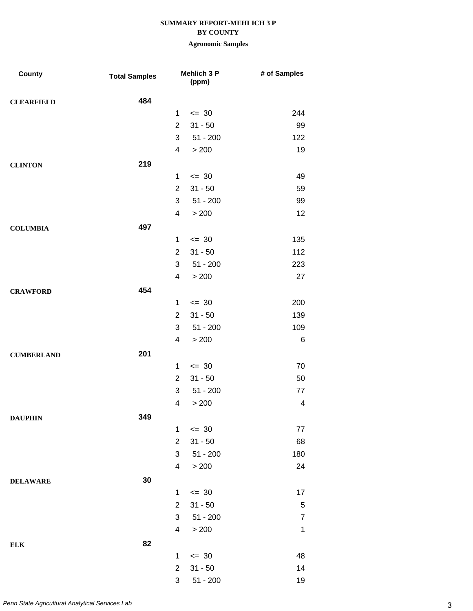## **BY COUNTY**

| County            | <b>Total Samples</b> |                | <b>Mehlich 3 P</b><br>(ppm) | # of Samples   |
|-------------------|----------------------|----------------|-----------------------------|----------------|
| <b>CLEARFIELD</b> | 484                  |                |                             |                |
|                   |                      | $\mathbf 1$    | $\leq$ 30                   | 244            |
|                   |                      | $\overline{2}$ | $31 - 50$                   | 99             |
|                   |                      | 3              | $51 - 200$                  | 122            |
|                   |                      | $\overline{4}$ | > 200                       | 19             |
| <b>CLINTON</b>    | 219                  |                |                             |                |
|                   |                      | $\mathbf{1}$   | $\leq$ 30                   | 49             |
|                   |                      | $\overline{2}$ | $31 - 50$                   | 59             |
|                   |                      | 3              | $51 - 200$                  | 99             |
|                   |                      | 4              | > 200                       | 12             |
| <b>COLUMBIA</b>   | 497                  |                |                             |                |
|                   |                      | 1              | $\leq$ 30                   | 135            |
|                   |                      | $\overline{2}$ | $31 - 50$                   | 112            |
|                   |                      | 3              | $51 - 200$                  | 223            |
|                   |                      | $\overline{4}$ | > 200                       | 27             |
| <b>CRAWFORD</b>   | 454                  |                |                             |                |
|                   |                      | $\mathbf{1}$   | $\leq$ 30                   | 200            |
|                   |                      | $\overline{2}$ | $31 - 50$                   | 139            |
|                   |                      | 3              | $51 - 200$                  | 109            |
|                   |                      | 4              | > 200                       | $\,6$          |
| <b>CUMBERLAND</b> | 201                  |                |                             |                |
|                   |                      | $\mathbf{1}$   | $\leq$ 30                   | 70             |
|                   |                      | $\overline{2}$ | $31 - 50$                   | 50             |
|                   |                      | 3              | $51 - 200$                  | 77             |
|                   |                      | 4              | > 200                       | $\overline{4}$ |
| <b>DAUPHIN</b>    | 349                  |                |                             |                |
|                   |                      | $\mathbf{1}$   | $\leq$ 30                   | 77             |
|                   |                      | $\overline{2}$ | $31 - 50$                   | 68             |
|                   |                      | 3              | $51 - 200$                  | 180            |
|                   |                      | $\overline{4}$ | > 200                       | 24             |
| <b>DELAWARE</b>   | 30                   |                |                             |                |
|                   |                      | $\mathbf{1}$   | $\leq$ 30                   | 17             |
|                   |                      | $\overline{2}$ | $31 - 50$                   | $\sqrt{5}$     |
|                   |                      | 3              | $51 - 200$                  | $\overline{7}$ |
|                   |                      | $\overline{4}$ | > 200                       | $\mathbf 1$    |
| ${\bf ELK}$       | 82                   |                |                             |                |
|                   |                      | $\mathbf{1}$   | $\leq$ 30                   | 48             |
|                   |                      | $\overline{2}$ | $31 - 50$                   | 14             |
|                   |                      | 3              | $51 - 200$                  | 19             |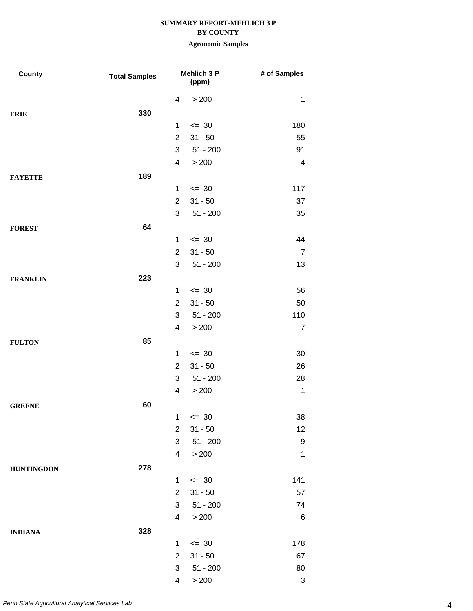### **BY COUNTY**

| County            | <b>Total Samples</b> |                          | Mehlich 3 P<br>(ppm) | # of Samples            |
|-------------------|----------------------|--------------------------|----------------------|-------------------------|
|                   |                      | 4                        | > 200                | $\mathbf 1$             |
| <b>ERIE</b>       | 330                  |                          |                      |                         |
|                   |                      | 1                        | $= 30$               | 180                     |
|                   |                      | $\overline{2}$           | $31 - 50$            | 55                      |
|                   |                      | 3                        | $51 - 200$           | 91                      |
|                   |                      | 4                        | > 200                | $\overline{\mathbf{4}}$ |
| <b>FAYETTE</b>    | 189                  |                          |                      |                         |
|                   |                      | $\mathbf 1$              | $\leq$ 30            | 117                     |
|                   |                      | $\overline{2}$           | $31 - 50$            | 37                      |
|                   |                      | 3                        | $51 - 200$           | 35                      |
| <b>FOREST</b>     | 64                   |                          |                      |                         |
|                   |                      | 1                        | $\leq$ 30            | 44                      |
|                   |                      | $\overline{2}$           | $31 - 50$            | $\overline{7}$          |
|                   |                      | 3                        | $51 - 200$           | 13                      |
| <b>FRANKLIN</b>   | 223                  |                          |                      |                         |
|                   |                      | $\mathbf{1}$             | $\leq$ 30            | 56                      |
|                   |                      | $\overline{2}$           | $31 - 50$            | 50                      |
|                   |                      | 3                        | $51 - 200$           | 110                     |
|                   |                      | 4                        | > 200                | $\overline{7}$          |
| <b>FULTON</b>     | 85                   |                          |                      |                         |
|                   |                      | $\mathbf{1}$             | $\leq$ 30            | 30                      |
|                   |                      | $\overline{2}$           | $31 - 50$            | 26                      |
|                   |                      | 3                        | $51 - 200$           | 28                      |
|                   |                      | $\overline{\mathcal{A}}$ | > 200                | $\mathbf 1$             |
| <b>GREENE</b>     | 60                   |                          |                      |                         |
|                   |                      | 1                        | $= 30$               | 38                      |
|                   |                      | $\overline{2}$           | $31 - 50$            | 12                      |
|                   |                      | 3                        | $51 - 200$           | 9                       |
|                   |                      | 4                        | > 200                | $\mathbf 1$             |
| <b>HUNTINGDON</b> | 278                  |                          |                      |                         |
|                   |                      | $\mathbf 1$              | $\leq$ 30            | 141                     |
|                   |                      | $\overline{2}$           | $31 - 50$            | 57                      |
|                   |                      | 3                        | $51 - 200$           | 74                      |
|                   |                      | 4                        | > 200                | 6                       |
| <b>INDIANA</b>    | 328                  |                          |                      |                         |
|                   |                      | 1                        | $\leq$ 30            | 178                     |
|                   |                      | $\overline{2}$           | $31 - 50$            | 67                      |
|                   |                      | 3                        | $51 - 200$           | 80                      |
|                   |                      | 4                        | > 200                | $\sqrt{3}$              |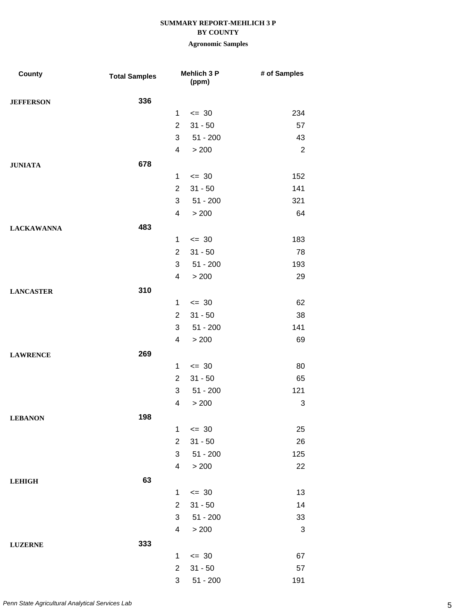## **BY COUNTY**

| County            | <b>Total Samples</b> |                | <b>Mehlich 3 P</b><br>(ppm) | # of Samples   |
|-------------------|----------------------|----------------|-----------------------------|----------------|
| <b>JEFFERSON</b>  | 336                  |                |                             |                |
|                   |                      | $\mathbf{1}$   | $= 30$                      | 234            |
|                   |                      | $\overline{2}$ | $31 - 50$                   | 57             |
|                   |                      | 3              | $51 - 200$                  | 43             |
|                   |                      | 4              | > 200                       | $\overline{2}$ |
| <b>JUNIATA</b>    | 678                  |                |                             |                |
|                   |                      | $\mathbf 1$    | $\leq$ 30                   | 152            |
|                   |                      | $\overline{2}$ | $31 - 50$                   | 141            |
|                   |                      | 3              | $51 - 200$                  | 321            |
|                   |                      | 4              | > 200                       | 64             |
| <b>LACKAWANNA</b> | 483                  |                |                             |                |
|                   |                      | $\mathbf{1}$   | $\leq$ 30                   | 183            |
|                   |                      | $\overline{2}$ | $31 - 50$                   | 78             |
|                   |                      | 3              | $51 - 200$                  | 193            |
|                   |                      | 4              | > 200                       | 29             |
| <b>LANCASTER</b>  | 310                  |                |                             |                |
|                   |                      | $\mathbf{1}$   | $\leq$ 30                   | 62             |
|                   |                      | $\overline{2}$ | $31 - 50$                   | 38             |
|                   |                      | 3              | $51 - 200$                  | 141            |
|                   |                      | 4              | > 200                       | 69             |
| <b>LAWRENCE</b>   | 269                  |                |                             |                |
|                   |                      | $\mathbf 1$    | $\leq$ 30                   | 80             |
|                   |                      | $\overline{2}$ | $31 - 50$                   | 65             |
|                   |                      | 3              | $51 - 200$                  | 121            |
|                   |                      | 4              | > 200                       | 3              |
| <b>LEBANON</b>    | 198                  |                |                             |                |
|                   |                      | $\mathbf{1}$   | $\leq$ 30                   | 25             |
|                   |                      | $\overline{2}$ | $31 - 50$                   | 26             |
|                   |                      | 3              | $51 - 200$                  | 125            |
|                   |                      | 4              | > 200                       | 22             |
| <b>LEHIGH</b>     | 63                   |                |                             |                |
|                   |                      | 1              | $\leq$ 30                   | 13             |
|                   |                      | $\overline{2}$ | $31 - 50$                   | 14             |
|                   |                      | 3              | $51 - 200$                  | 33             |
|                   |                      | 4              | > 200                       | 3              |
| <b>LUZERNE</b>    | 333                  |                |                             |                |
|                   |                      | $\mathbf 1$    | $= 30$                      | 67             |
|                   |                      | $\overline{2}$ | $31 - 50$                   | 57             |
|                   |                      | 3              | $51 - 200$                  | 191            |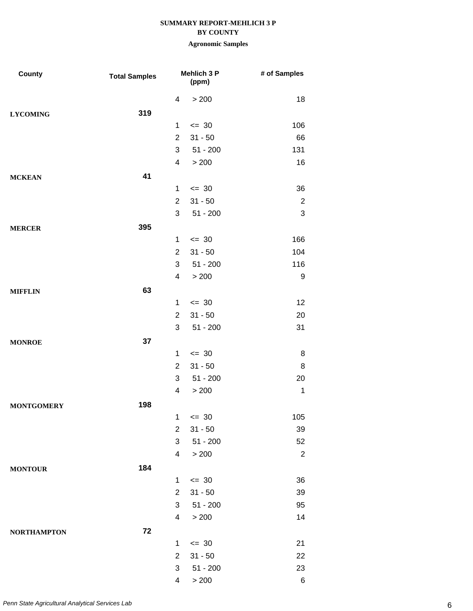### **BY COUNTY**

| County             | <b>Total Samples</b> |                | <b>Mehlich 3 P</b><br>(ppm) | # of Samples   |
|--------------------|----------------------|----------------|-----------------------------|----------------|
|                    |                      | 4              | > 200                       | 18             |
| <b>LYCOMING</b>    | 319                  |                |                             |                |
|                    |                      | $\mathbf{1}$   | $= 30$                      | 106            |
|                    |                      | $\overline{2}$ | $31 - 50$                   | 66             |
|                    |                      | 3              | $51 - 200$                  | 131            |
|                    |                      | 4              | > 200                       | 16             |
| <b>MCKEAN</b>      | 41                   |                |                             |                |
|                    |                      | $\mathbf{1}$   | $= 30$                      | 36             |
|                    |                      | $\overline{2}$ | $31 - 50$                   | $\overline{2}$ |
|                    |                      | 3              | $51 - 200$                  | 3              |
| <b>MERCER</b>      | 395                  |                |                             |                |
|                    |                      | $\mathbf{1}$   | $= 30$                      | 166            |
|                    |                      | $\overline{2}$ | $31 - 50$                   | 104            |
|                    |                      | 3              | $51 - 200$                  | 116            |
|                    |                      | 4              | > 200                       | 9              |
| <b>MIFFLIN</b>     | 63                   |                |                             |                |
|                    |                      | $\mathbf{1}$   | $\leq$ 30                   | 12             |
|                    |                      | $\overline{2}$ | $31 - 50$                   | 20             |
|                    |                      | 3              | $51 - 200$                  | 31             |
| <b>MONROE</b>      | 37                   |                |                             |                |
|                    |                      | 1              | $\leq$ 30                   | 8              |
|                    |                      | $\overline{2}$ | $31 - 50$                   | 8              |
|                    |                      | 3              | $51 - 200$                  | 20             |
|                    |                      | 4              | > 200                       | $\mathbf 1$    |
| <b>MONTGOMERY</b>  | 198                  |                |                             |                |
|                    |                      | 1              | $\leq$ 30                   | 105            |
|                    |                      | $\overline{2}$ | $31 - 50$                   | 39             |
|                    |                      | 3              | $51 - 200$                  | 52             |
|                    |                      | 4              | > 200                       | $\overline{2}$ |
| <b>MONTOUR</b>     | 184                  |                |                             |                |
|                    |                      | $\mathbf{1}$   | $\leq$ 30                   | 36             |
|                    |                      | $\overline{2}$ | $31 - 50$                   | 39             |
|                    |                      | 3              | $51 - 200$                  | 95             |
|                    |                      | 4              | > 200                       | 14             |
| <b>NORTHAMPTON</b> | 72                   |                |                             |                |
|                    |                      | 1              | $\leq$ 30                   | 21             |
|                    |                      | $\overline{2}$ | $31 - 50$                   | 22             |
|                    |                      | 3              | $51 - 200$                  | 23             |
|                    |                      | 4              | > 200                       | $\,6$          |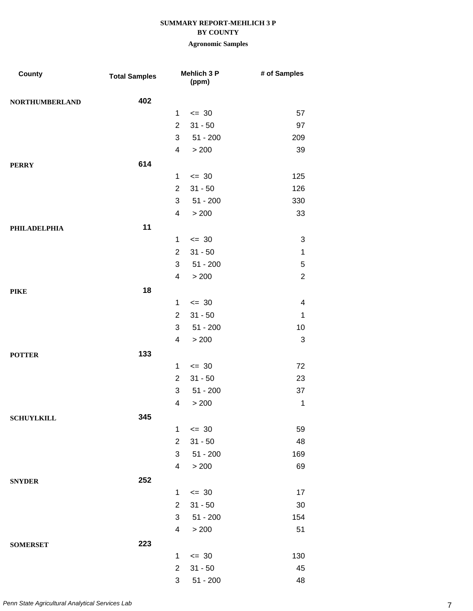## **BY COUNTY**

| County                | <b>Total Samples</b> |                          | Mehlich 3 P<br>(ppm) | # of Samples   |
|-----------------------|----------------------|--------------------------|----------------------|----------------|
| <b>NORTHUMBERLAND</b> | 402                  |                          |                      |                |
|                       |                      | $\mathbf{1}$             | $= 30$               | 57             |
|                       |                      | $\overline{2}$           | $31 - 50$            | 97             |
|                       |                      | 3                        | $51 - 200$           | 209            |
|                       |                      | 4                        | > 200                | 39             |
| <b>PERRY</b>          | 614                  |                          |                      |                |
|                       |                      | 1                        | $= 30$               | 125            |
|                       |                      | $\overline{2}$           | $31 - 50$            | 126            |
|                       |                      | 3                        | $51 - 200$           | 330            |
|                       |                      | 4                        | > 200                | 33             |
| <b>PHILADELPHIA</b>   | 11                   |                          |                      |                |
|                       |                      | 1                        | $= 30$               | 3              |
|                       |                      | $\overline{2}$           | $31 - 50$            | $\mathbf 1$    |
|                       |                      | 3                        | $51 - 200$           | $\,$ 5 $\,$    |
|                       |                      | $\overline{\mathcal{A}}$ | > 200                | $\overline{2}$ |
| <b>PIKE</b>           | 18                   |                          |                      |                |
|                       |                      | 1                        | $\leq$ 30            | 4              |
|                       |                      | 2                        | $31 - 50$            | 1              |
|                       |                      | 3                        | $51 - 200$           | 10             |
|                       |                      | 4                        | > 200                | 3              |
| <b>POTTER</b>         | 133                  |                          |                      |                |
|                       |                      | 1                        | $\leq$ 30            | 72             |
|                       |                      | $\overline{2}$           | $31 - 50$            | 23             |
|                       |                      | 3                        | $51 - 200$           | 37             |
|                       |                      | 4                        | > 200                | $\mathbf 1$    |
| <b>SCHUYLKILL</b>     | 345                  |                          |                      |                |
|                       |                      | 1                        | $\leq$ 30            | 59             |
|                       |                      | $\overline{2}$           | $31 - 50$            | 48             |
|                       |                      | 3                        | $51 - 200$           | 169            |
|                       |                      | 4                        | > 200                | 69             |
| <b>SNYDER</b>         | 252                  |                          |                      |                |
|                       |                      | 1                        | $\leq$ 30            | 17             |
|                       |                      | 2                        | $31 - 50$            | 30             |
|                       |                      | 3                        | $51 - 200$           | 154            |
|                       |                      | 4                        | > 200                | 51             |
| <b>SOMERSET</b>       | 223                  |                          |                      |                |
|                       |                      | 1                        | $\leq$ 30            | 130            |
|                       |                      | $\overline{2}$           | $31 - 50$            | 45             |
|                       |                      | 3                        | $51 - 200$           | 48             |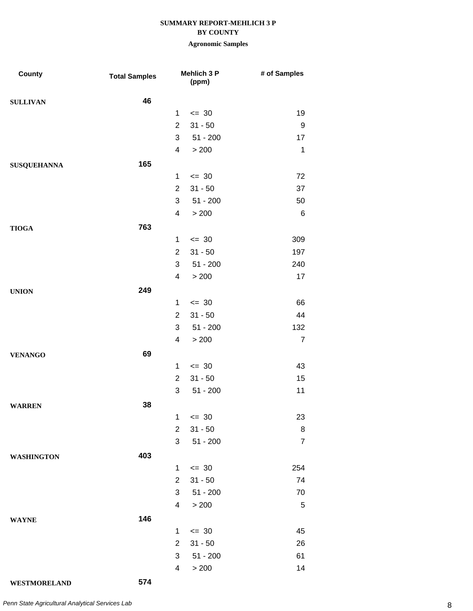### **BY COUNTY**

#### **Agronomic Samples**

| County             | <b>Total Samples</b> |                | Mehlich 3 P<br>(ppm) | # of Samples   |
|--------------------|----------------------|----------------|----------------------|----------------|
| <b>SULLIVAN</b>    | 46                   |                |                      |                |
|                    |                      | $\mathbf{1}$   | $= 30$               | 19             |
|                    |                      | $\overline{2}$ | $31 - 50$            | 9              |
|                    |                      | 3              | $51 - 200$           | 17             |
|                    |                      | 4              | > 200                | $\mathbf 1$    |
| <b>SUSQUEHANNA</b> | 165                  |                |                      |                |
|                    |                      | $\mathbf{1}$   | $= 30$               | 72             |
|                    |                      | $\overline{2}$ | $31 - 50$            | 37             |
|                    |                      | 3              | $51 - 200$           | 50             |
|                    |                      | 4              | > 200                | $\,6$          |
| <b>TIOGA</b>       | 763                  |                |                      |                |
|                    |                      | $\mathbf{1}$   | $\leq$ 30            | 309            |
|                    |                      | $\overline{2}$ | $31 - 50$            | 197            |
|                    |                      | 3              | $51 - 200$           | 240            |
|                    |                      | 4              | > 200                | 17             |
| <b>UNION</b>       | 249                  |                |                      |                |
|                    |                      | $\mathbf{1}$   | $\leq$ 30            | 66             |
|                    |                      | $\overline{2}$ | $31 - 50$            | 44             |
|                    |                      | 3              | $51 - 200$           | 132            |
|                    |                      | 4              | > 200                | $\overline{7}$ |
| <b>VENANGO</b>     | 69                   |                |                      |                |
|                    |                      | 1              | $\leq$ 30            | 43             |
|                    |                      | $\overline{2}$ | $31 - 50$            | 15             |
|                    |                      | 3              | $51 - 200$           | 11             |
| <b>WARREN</b>      | 38                   |                |                      |                |
|                    |                      | 1              | $\leq 30$            | 23             |
|                    |                      | $\overline{2}$ | $31 - 50$            | $\bf 8$        |
|                    |                      | 3              | $51 - 200$           | $\overline{7}$ |
| <b>WASHINGTON</b>  | 403                  |                |                      |                |
|                    |                      | $\mathbf{1}$   | $\leq$ 30            | 254            |
|                    |                      | $\overline{2}$ | $31 - 50$            | 74             |
|                    |                      | 3              | $51 - 200$           | 70             |
|                    |                      | 4              | > 200                | 5              |
| <b>WAYNE</b>       | 146                  |                |                      |                |
|                    |                      | $\mathbf{1}$   | $\leq$ 30            | 45             |
|                    |                      | $\overline{2}$ | $31 - 50$            | 26             |
|                    |                      | 3              | $51 - 200$           | 61             |
|                    |                      | 4              | > 200                | 14             |
|                    |                      |                |                      |                |

**WESTMORELAND 574**